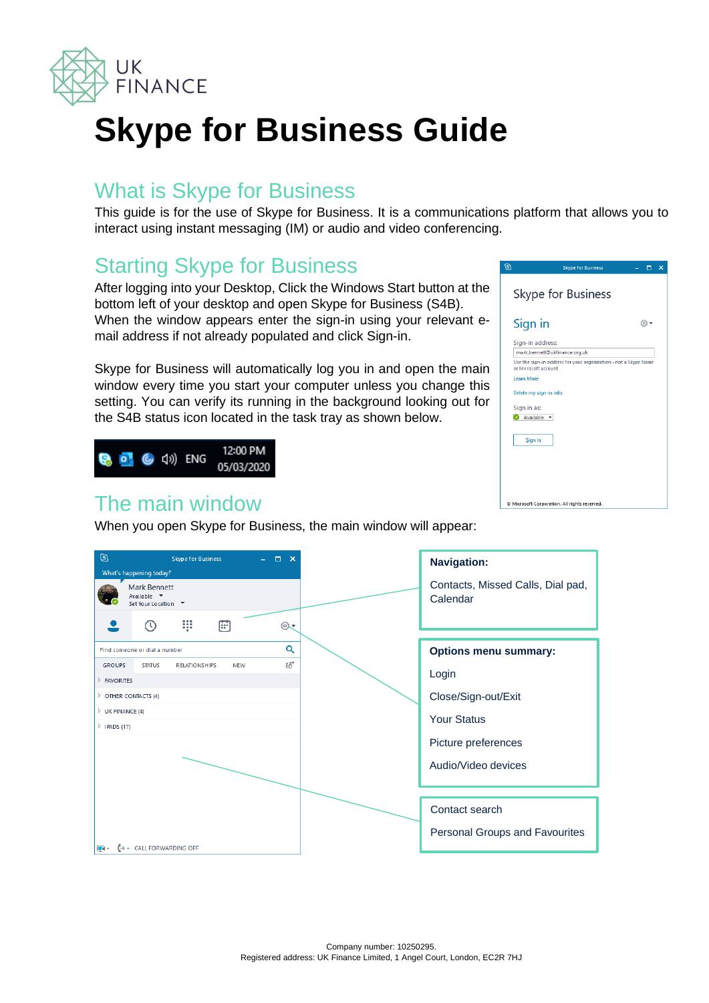

# **Skype for Business Guide**

#### What is Skype for Business

This guide is for the use of Skype for Business. It is a communications platform that allows you to interact using instant messaging (IM) or audio and video conferencing.

# Starting Skype for Business

After logging into your Desktop, Click the Windows Start button at the bottom left of your desktop and open Skype for Business (S4B). When the window appears enter the sign-in using your relevant email address if not already populated and click Sign-in.

Skype for Business will automatically log you in and open the main window every time you start your computer unless you change this setting. You can verify its running in the background looking out for the S4B status icon located in the task tray as shown below.



#### The main window

When you open Skype for Business, the main window will appear:



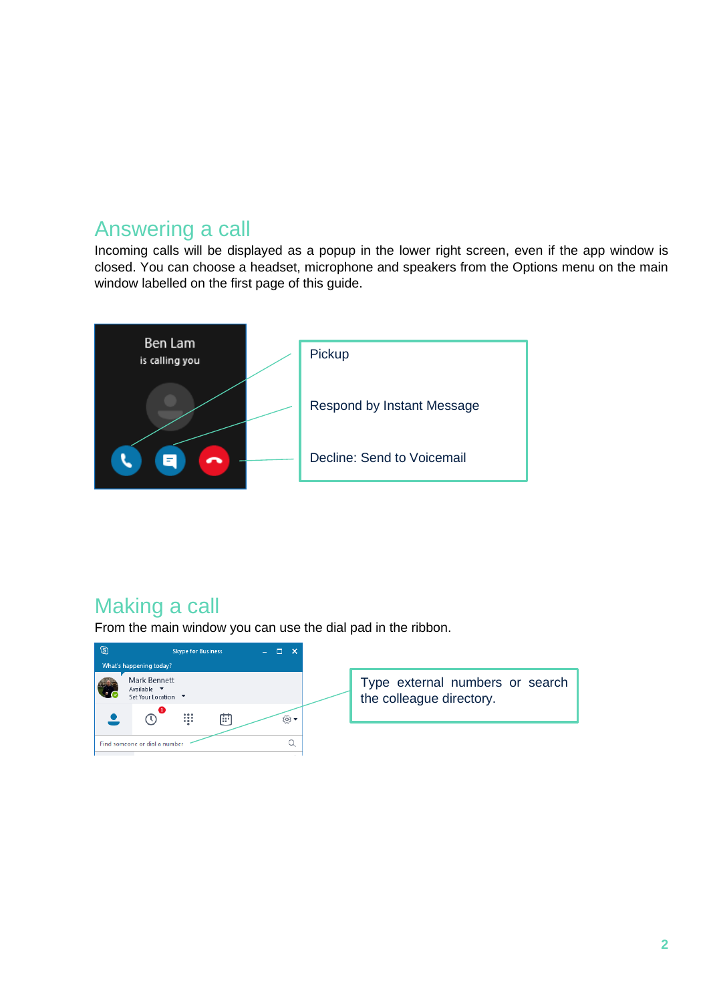#### Answering a call

Incoming calls will be displayed as a popup in the lower right screen, even if the app window is closed. You can choose a headset, microphone and speakers from the Options menu on the main window labelled on the first page of this guide.



# Making a call

From the main window you can use the dial pad in the ribbon.

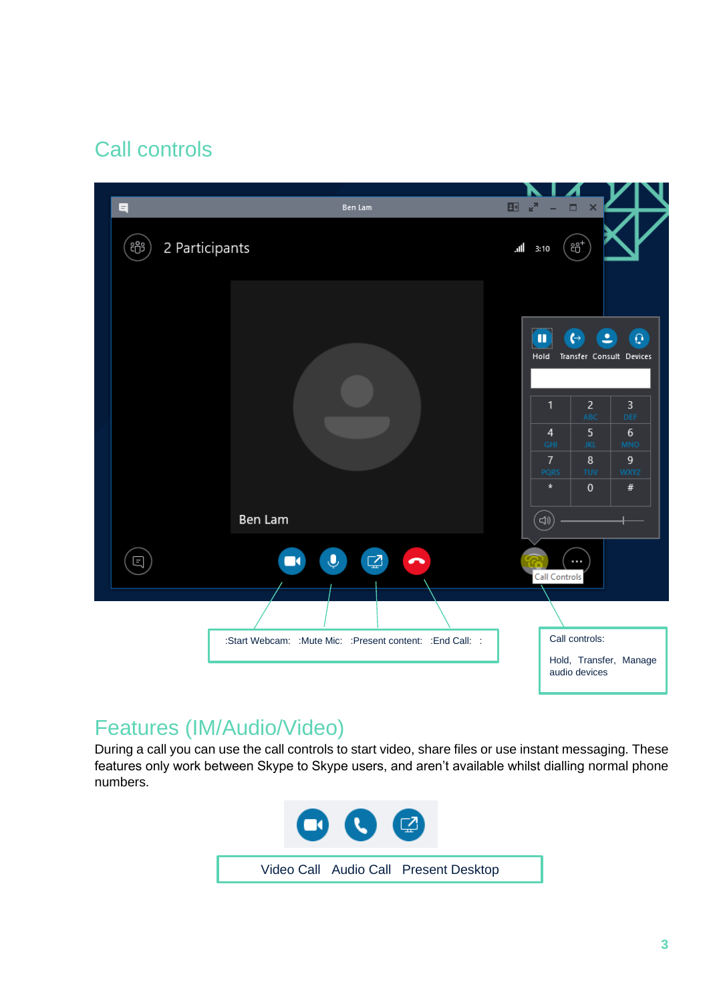# Call controls



# Features (IM/Audio/Video)

During a call you can use the call controls to start video, share files or use instant messaging. These features only work between Skype to Skype users, and aren't available whilst dialling normal phone numbers.

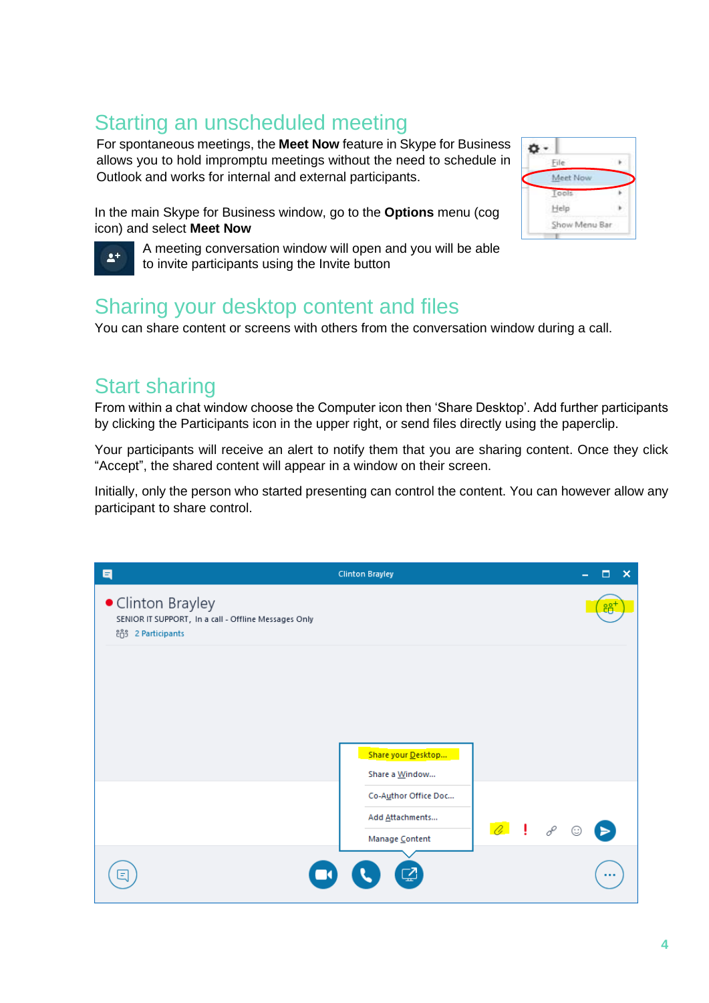## Starting an unscheduled meeting

For spontaneous meetings, the **Meet Now** feature in Skype for Business allows you to hold impromptu meetings without the need to schedule in Outlook and works for internal and external participants.

In the main Skype for Business window, go to the **Options** menu (cog icon) and select **Meet Now**

A meeting conversation window will open and you will be able to invite participants using the Invite button

#### o -File Meet Now Tool Help Show Menu Bar

### Sharing your desktop content and files

You can share content or screens with others from the conversation window during a call.

### Start sharing

 $2+$ 

From within a chat window choose the Computer icon then 'Share Desktop'. Add further participants by clicking the Participants icon in the upper right, or send files directly using the paperclip.

Your participants will receive an alert to notify them that you are sharing content. Once they click "Accept", the shared content will appear in a window on their screen.

Initially, only the person who started presenting can control the content. You can however allow any participant to share control.

| $\blacksquare$                                                                                 | <b>Clinton Brayley</b>               |                   | о<br>× |
|------------------------------------------------------------------------------------------------|--------------------------------------|-------------------|--------|
| • Clinton Brayley<br>SENIOR IT SUPPORT, In a call - Offline Messages Only<br>88 2 Participants |                                      |                   |        |
|                                                                                                |                                      |                   |        |
|                                                                                                |                                      |                   |        |
|                                                                                                | Share your Desktop<br>Share a Window |                   |        |
|                                                                                                | Co-Author Office Doc                 |                   |        |
|                                                                                                | Add Attachments<br>Manage Content    | $\theta$ $\theta$ | ☺      |
| Ξ                                                                                              | ø                                    |                   |        |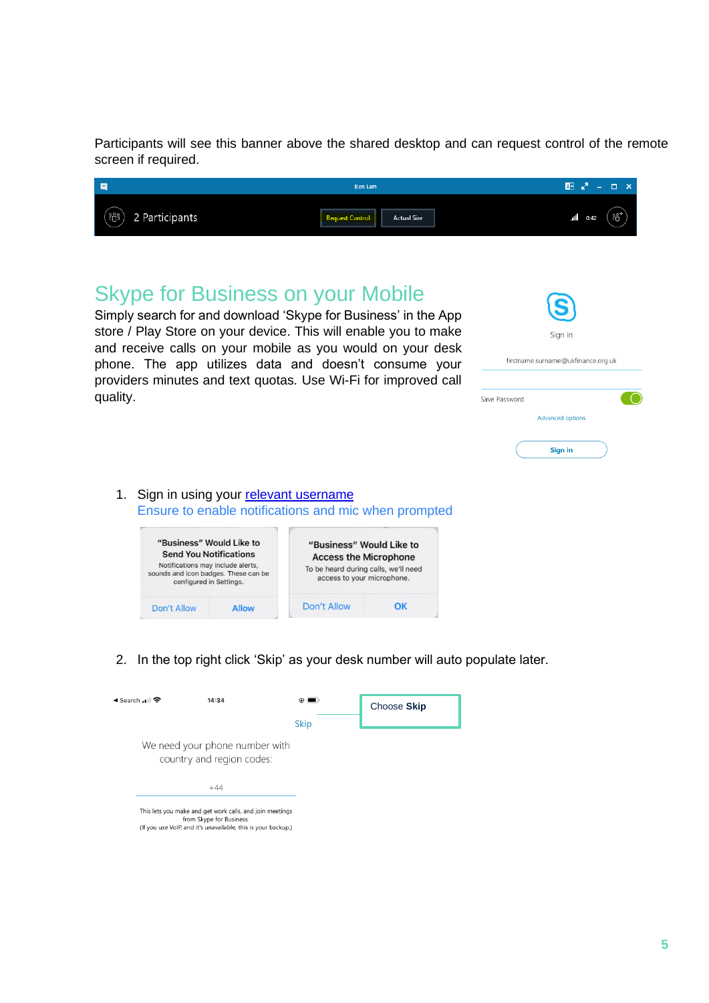Participants will see this banner above the shared desktop and can request control of the remote screen if required.

| 同                            | Ben Lam                                     |              |         |
|------------------------------|---------------------------------------------|--------------|---------|
| 000<br>2 Participants<br>~∪~ | <b>Actual Size</b><br><b>Request Contro</b> | 0:42<br>.all | $\circ$ |

#### Skype for Business on your Mobile

Simply search for and download 'Skype for Business' in the App store / Play Store on your device. This will enable you to make and receive calls on your mobile as you would on your desk phone. The app utilizes data and doesn't consume your providers minutes and text quotas. Use Wi-Fi for improved call quality.

| $\mathbf{\Theta}$<br>Sign in       |
|------------------------------------|
| firstname.surname@ukfinance.org.uk |
|                                    |
| ave Password                       |
| <b>Advanced options</b>            |
| Sign in                            |

1. Sign in using your [relevant](mailto:firstname.surname@ukfinance.org.uk) username Ensure to enable notifications and mic when prompted



2. In the top right click 'Skip' as your desk number will auto populate later.

| ◀ Search പ  ক | 14:34                                                                                                                                              | $\odot$ (<br>▬ | Choose Skip |
|---------------|----------------------------------------------------------------------------------------------------------------------------------------------------|----------------|-------------|
|               |                                                                                                                                                    | <b>Skip</b>    |             |
|               | We need your phone number with<br>country and region codes:                                                                                        |                |             |
|               | $+44$                                                                                                                                              |                |             |
|               | This lets you make and get work calls, and join meetings<br>from Skype for Business.<br>(If you use VoIP and it's unavailable this is your backup) |                |             |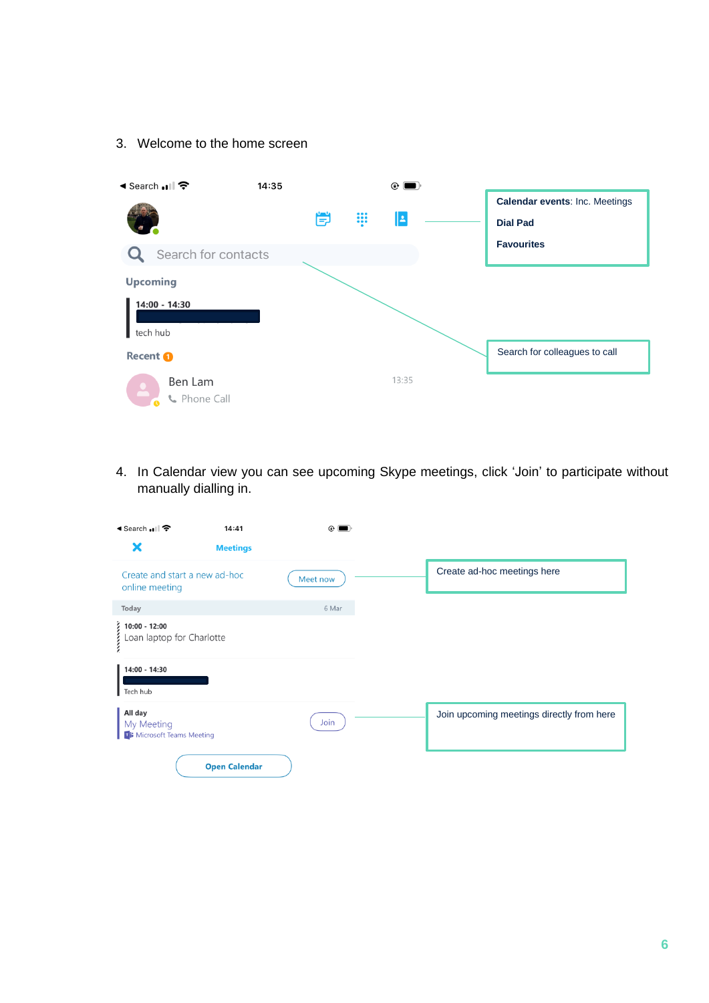#### 3. Welcome to the home screen



4. In Calendar view you can see upcoming Skype meetings, click 'Join' to participate without manually dialling in.

| ◀ Search .। । কি                                                              | 14:41                | $^{\circ}$ |                                           |
|-------------------------------------------------------------------------------|----------------------|------------|-------------------------------------------|
|                                                                               | <b>Meetings</b>      |            |                                           |
| Create and start a new ad-hoc<br>online meeting                               |                      | Meet now   | Create ad-hoc meetings here               |
| Today                                                                         |                      | 6 Mar      |                                           |
| $\begin{cases} 10:00 - 12:00 \\ \text{LOan laptop for Charlotte} \end{cases}$ |                      |            |                                           |
| 14:00 - 14:30<br>Tech hub                                                     |                      |            |                                           |
| All day<br>My Meeting<br><b>Til</b> Microsoft Teams Meeting                   |                      | Join       | Join upcoming meetings directly from here |
|                                                                               | <b>Open Calendar</b> |            |                                           |